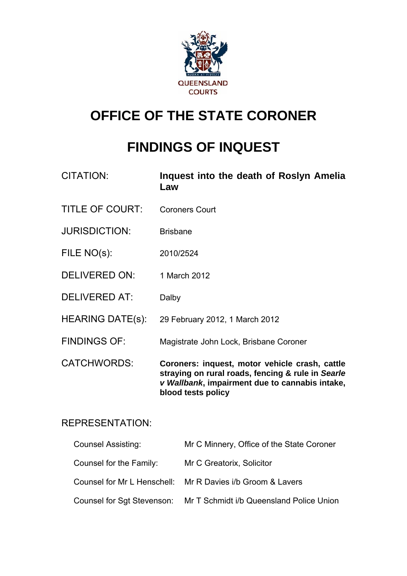

# **OFFICE OF THE STATE CORONER**

# **FINDINGS OF INQUEST**

| CITATION:               | Inquest into the death of Roslyn Amelia<br>Law                                                                                                                              |
|-------------------------|-----------------------------------------------------------------------------------------------------------------------------------------------------------------------------|
| <b>TITLE OF COURT:</b>  | <b>Coroners Court</b>                                                                                                                                                       |
| <b>JURISDICTION:</b>    | <b>Brisbane</b>                                                                                                                                                             |
| FILE NO(s):             | 2010/2524                                                                                                                                                                   |
| <b>DELIVERED ON:</b>    | 1 March 2012                                                                                                                                                                |
| <b>DELIVERED AT:</b>    | Dalby                                                                                                                                                                       |
| <b>HEARING DATE(s):</b> | 29 February 2012, 1 March 2012                                                                                                                                              |
| <b>FINDINGS OF:</b>     | Magistrate John Lock, Brisbane Coroner                                                                                                                                      |
| <b>CATCHWORDS:</b>      | Coroners: inquest, motor vehicle crash, cattle<br>straying on rural roads, fencing & rule in Searle<br>v Wallbank, impairment due to cannabis intake,<br>blood tests policy |

# REPRESENTATION:

| <b>Counsel Assisting:</b> | Mr C Minnery, Office of the State Coroner                           |
|---------------------------|---------------------------------------------------------------------|
| Counsel for the Family:   | Mr C Greatorix, Solicitor                                           |
|                           | Counsel for Mr L Henschell: Mr R Davies i/b Groom & Lavers          |
|                           | Counsel for Sgt Stevenson: Mr T Schmidt i/b Queensland Police Union |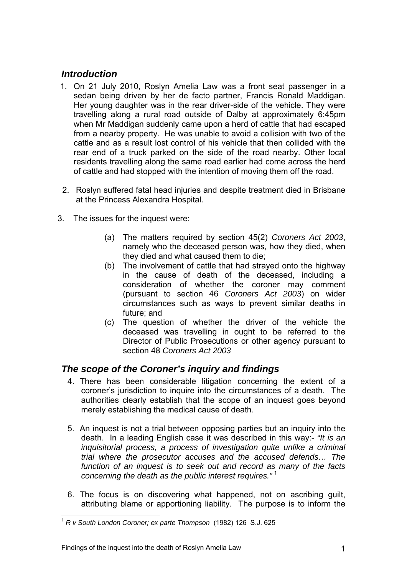# *Introduction*

- 1. On 21 July 2010, Roslyn Amelia Law was a front seat passenger in a sedan being driven by her de facto partner, Francis Ronald Maddigan. Her young daughter was in the rear driver-side of the vehicle. They were travelling along a rural road outside of Dalby at approximately 6:45pm when Mr Maddigan suddenly came upon a herd of cattle that had escaped from a nearby property. He was unable to avoid a collision with two of the cattle and as a result lost control of his vehicle that then collided with the rear end of a truck parked on the side of the road nearby. Other local residents travelling along the same road earlier had come across the herd of cattle and had stopped with the intention of moving them off the road.
- 2. Roslyn suffered fatal head injuries and despite treatment died in Brisbane at the Princess Alexandra Hospital.
- 3. The issues for the inquest were:
	- (a) The matters required by section 45(2) *Coroners Act 2003*, namely who the deceased person was, how they died, when they died and what caused them to die;
	- (b) The involvement of cattle that had strayed onto the highway in the cause of death of the deceased, including a consideration of whether the coroner may comment (pursuant to section 46 *Coroners Act 2003*) on wider circumstances such as ways to prevent similar deaths in future; and
	- (c) The question of whether the driver of the vehicle the deceased was travelling in ought to be referred to the Director of Public Prosecutions or other agency pursuant to section 48 *Coroners Act 2003*

# *The scope of the Coroner's inquiry and findings*

- 4. There has been considerable litigation concerning the extent of a coroner's jurisdiction to inquire into the circumstances of a death. The authorities clearly establish that the scope of an inquest goes beyond merely establishing the medical cause of death.
- 5. An inquest is not a trial between opposing parties but an inquiry into the death. In a leading English case it was described in this way:- *"It is an inquisitorial process, a process of investigation quite unlike a criminal trial where the prosecutor accuses and the accused defends… The function of an inquest is to seek out and record as many of the facts concerning the death as the public interest requires."* [1](#page-1-0)
- 6. The focus is on discovering what happened, not on ascribing guilt, attributing blame or apportioning liability. The purpose is to inform the

<span id="page-1-0"></span>l <sup>1</sup> *R v South London Coroner; ex parte Thompson* (1982) 126 S.J. 625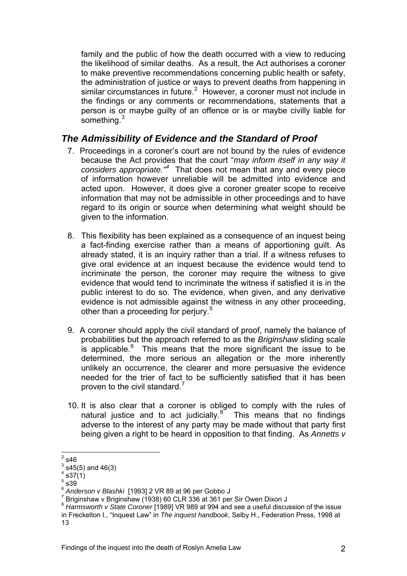family and the public of how the death occurred with a view to reducing the likelihood of similar deaths. As a result, the Act authorises a coroner to make preventive recommendations concerning public health or safety, the administration of justice or ways to prevent deaths from happening in similar circumstances in future. $2$  However, a coroner must not include in the findings or any comments or recommendations, statements that a person is or maybe guilty of an offence or is or maybe civilly liable for something.<sup>3</sup>

# *The Admissibility of Evidence and the Standard of Proof*

- 7. Proceedings in a coroner's court are not bound by the rules of evidence because the Act provides that the court "*may inform itself in any way it considers appropriate."[4](#page-2-0)* That does not mean that any and every piece of information however unreliable will be admitted into evidence and acted upon. However, it does give a coroner greater scope to receive information that may not be admissible in other proceedings and to have regard to its origin or source when determining what weight should be given to the information.
- 8. This flexibility has been explained as a consequence of an inquest being a fact-finding exercise rather than a means of apportioning guilt. As already stated, it is an inquiry rather than a trial. If a witness refuses to give oral evidence at an inquest because the evidence would tend to incriminate the person, the coroner may require the witness to give evidence that would tend to incriminate the witness if satisfied it is in the public interest to do so. The evidence, when given, and any derivative evidence is not admissible against the witness in any other proceeding, other than a proceeding for perjury.<sup>[5](#page-2-1)</sup>
- 9. A coroner should apply the civil standard of proof, namely the balance of probabilities but the approach referred to as the *Briginshaw* sliding scale is applicable. $6$  This means that the more significant the issue to be determined, the more serious an allegation or the more inherently unlikely an occurrence, the clearer and more persuasive the evidence needed for the trier of fact to be sufficiently satisfied that it has been proven to the civil standard.<sup>[7](#page-2-3)</sup>
- 10. It is also clear that a coroner is obliged to comply with the rules of natural justice and to act judicially. $8^{\circ}$  $8^{\circ}$  This means that no findings adverse to the interest of any party may be made without that party first being given a right to be heard in opposition to that finding. As *Annetts v*

 $\frac{1}{2}$ s46

 $3$  s45(5) and 46(3)

<span id="page-2-0"></span> $4$  s37 $(1)$ 

<span id="page-2-1"></span> $^5$  s39  $\overline{)}$ 

<span id="page-2-2"></span><sup>6</sup> *Anderson v Blashki* [1993] 2 VR 89 at 96 per Gobbo J 7

<span id="page-2-3"></span>Briginshaw v Briginshaw (1938) 60 CLR 336 at 361 per Sir Owen Dixon J

<span id="page-2-4"></span><sup>8</sup> *Harmsworth v State Coroner* [1989] VR 989 at 994 and see a useful discussion of the issue in Freckelton I., "Inquest Law" in *The inquest handbook*, Selby H., Federation Press, 1998 at 13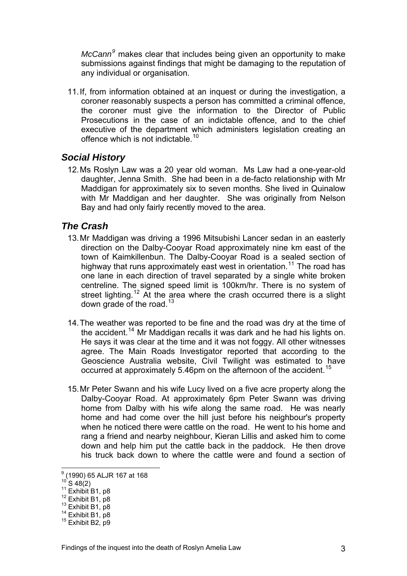*McCann<sup>9</sup>* makes clear that includes being given an opportunity to make submissions against findings that might be damaging to the reputation of any individual or organisation.

11. If, from information obtained at an inquest or during the investigation, a coroner reasonably suspects a person has committed a criminal offence, the coroner must give the information to the Director of Public Prosecutions in the case of an indictable offence, and to the chief executive of the department which administers legislation creating an offence which is not indictable.<sup>[10](#page-3-0)</sup>

## *Social History*

12. Ms Roslyn Law was a 20 year old woman. Ms Law had a one-year-old daughter, Jenna Smith. She had been in a de-facto relationship with Mr Maddigan for approximately six to seven months. She lived in Quinalow with Mr Maddigan and her daughter. She was originally from Nelson Bay and had only fairly recently moved to the area.

## *The Crash*

- 13. Mr Maddigan was driving a 1996 Mitsubishi Lancer sedan in an easterly direction on the Dalby-Cooyar Road approximately nine km east of the town of Kaimkillenbun. The Dalby-Cooyar Road is a sealed section of highway that runs approximately east west in orientation.<sup>[11](#page-3-1)</sup> The road has one lane in each direction of travel separated by a single white broken centreline. The signed speed limit is 100km/hr. There is no system of street lighting.<sup>[12](#page-3-2)</sup> At the area where the crash occurred there is a slight down grade of the road.<sup>[13](#page-3-3)</sup>
- 14. The weather was reported to be fine and the road was dry at the time of the accident.<sup>[14](#page-3-4)</sup> Mr Maddigan recalls it was dark and he had his lights on. He says it was clear at the time and it was not foggy. All other witnesses agree. The Main Roads Investigator reported that according to the Geoscience Australia website, Civil Twilight was estimated to have occurred at approximately 5.46pm on the afternoon of the accident.<sup>[15](#page-3-5)</sup>
- 15. Mr Peter Swann and his wife Lucy lived on a five acre property along the Dalby-Cooyar Road. At approximately 6pm Peter Swann was driving home from Dalby with his wife along the same road. He was nearly home and had come over the hill just before his neighbour's property when he noticed there were cattle on the road. He went to his home and rang a friend and nearby neighbour, Kieran Lillis and asked him to come down and help him put the cattle back in the paddock. He then drove his truck back down to where the cattle were and found a section of

 9 (1990) 65 ALJR 167 at 168

<span id="page-3-2"></span>

<span id="page-3-3"></span>

<span id="page-3-1"></span><span id="page-3-0"></span><sup>&</sup>lt;sup>11</sup> Exhibit B1, p8<br><sup>12</sup> Exhibit B1, p8<br><sup>13</sup> Exhibit B1, p8<br><sup>14</sup> Exhibit B1, p8<br><sup>15</sup> Exhibit B2, p9

<span id="page-3-5"></span><span id="page-3-4"></span>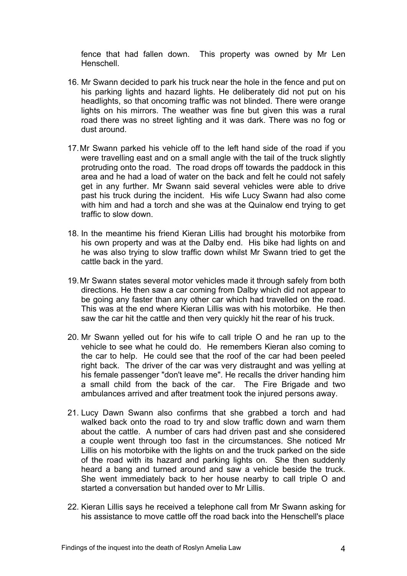fence that had fallen down. This property was owned by Mr Len Henschell.

- 16. Mr Swann decided to park his truck near the hole in the fence and put on his parking lights and hazard lights. He deliberately did not put on his headlights, so that oncoming traffic was not blinded. There were orange lights on his mirrors. The weather was fine but given this was a rural road there was no street lighting and it was dark. There was no fog or dust around.
- 17. Mr Swann parked his vehicle off to the left hand side of the road if you were travelling east and on a small angle with the tail of the truck slightly protruding onto the road. The road drops off towards the paddock in this area and he had a load of water on the back and felt he could not safely get in any further. Mr Swann said several vehicles were able to drive past his truck during the incident. His wife Lucy Swann had also come with him and had a torch and she was at the Quinalow end trying to get traffic to slow down.
- 18. In the meantime his friend Kieran Lillis had brought his motorbike from his own property and was at the Dalby end. His bike had lights on and he was also trying to slow traffic down whilst Mr Swann tried to get the cattle back in the yard.
- 19. Mr Swann states several motor vehicles made it through safely from both directions. He then saw a car coming from Dalby which did not appear to be going any faster than any other car which had travelled on the road. This was at the end where Kieran Lillis was with his motorbike. He then saw the car hit the cattle and then very quickly hit the rear of his truck.
- 20. Mr Swann yelled out for his wife to call triple O and he ran up to the vehicle to see what he could do. He remembers Kieran also coming to the car to help. He could see that the roof of the car had been peeled right back. The driver of the car was very distraught and was yelling at his female passenger "don't leave me". He recalls the driver handing him a small child from the back of the car. The Fire Brigade and two ambulances arrived and after treatment took the injured persons away.
- 21. Lucy Dawn Swann also confirms that she grabbed a torch and had walked back onto the road to try and slow traffic down and warn them about the cattle. A number of cars had driven past and she considered a couple went through too fast in the circumstances. She noticed Mr Lillis on his motorbike with the lights on and the truck parked on the side of the road with its hazard and parking lights on. She then suddenly heard a bang and turned around and saw a vehicle beside the truck. She went immediately back to her house nearby to call triple O and started a conversation but handed over to Mr Lillis.
- 22. Kieran Lillis says he received a telephone call from Mr Swann asking for his assistance to move cattle off the road back into the Henschell's place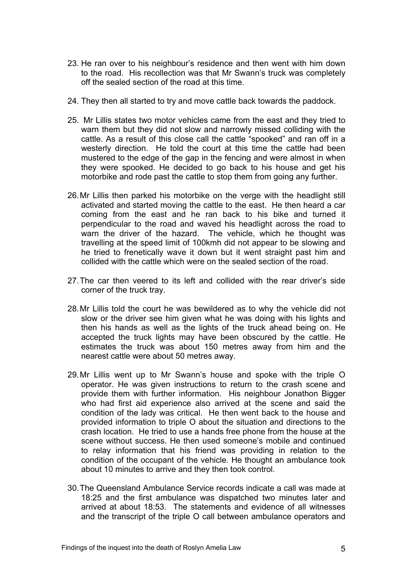- 23. He ran over to his neighbour's residence and then went with him down to the road. His recollection was that Mr Swann's truck was completely off the sealed section of the road at this time.
- 24. They then all started to try and move cattle back towards the paddock.
- 25. Mr Lillis states two motor vehicles came from the east and they tried to warn them but they did not slow and narrowly missed colliding with the cattle. As a result of this close call the cattle "spooked" and ran off in a westerly direction. He told the court at this time the cattle had been mustered to the edge of the gap in the fencing and were almost in when they were spooked. He decided to go back to his house and get his motorbike and rode past the cattle to stop them from going any further.
- 26. Mr Lillis then parked his motorbike on the verge with the headlight still activated and started moving the cattle to the east. He then heard a car coming from the east and he ran back to his bike and turned it perpendicular to the road and waved his headlight across the road to warn the driver of the hazard. The vehicle, which he thought was travelling at the speed limit of 100kmh did not appear to be slowing and he tried to frenetically wave it down but it went straight past him and collided with the cattle which were on the sealed section of the road.
- 27. The car then veered to its left and collided with the rear driver's side corner of the truck tray.
- 28. Mr Lillis told the court he was bewildered as to why the vehicle did not slow or the driver see him given what he was doing with his lights and then his hands as well as the lights of the truck ahead being on. He accepted the truck lights may have been obscured by the cattle. He estimates the truck was about 150 metres away from him and the nearest cattle were about 50 metres away.
- 29. Mr Lillis went up to Mr Swann's house and spoke with the triple O operator. He was given instructions to return to the crash scene and provide them with further information. His neighbour Jonathon Bigger who had first aid experience also arrived at the scene and said the condition of the lady was critical. He then went back to the house and provided information to triple O about the situation and directions to the crash location. He tried to use a hands free phone from the house at the scene without success. He then used someone's mobile and continued to relay information that his friend was providing in relation to the condition of the occupant of the vehicle. He thought an ambulance took about 10 minutes to arrive and they then took control.
- 30. The Queensland Ambulance Service records indicate a call was made at 18:25 and the first ambulance was dispatched two minutes later and arrived at about 18:53. The statements and evidence of all witnesses and the transcript of the triple O call between ambulance operators and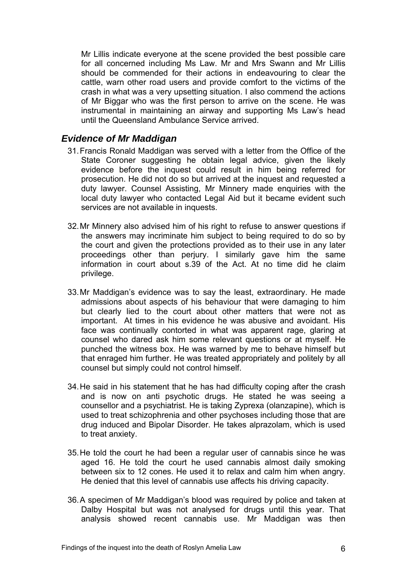Mr Lillis indicate everyone at the scene provided the best possible care for all concerned including Ms Law. Mr and Mrs Swann and Mr Lillis should be commended for their actions in endeavouring to clear the cattle, warn other road users and provide comfort to the victims of the crash in what was a very upsetting situation. I also commend the actions of Mr Biggar who was the first person to arrive on the scene. He was instrumental in maintaining an airway and supporting Ms Law's head until the Queensland Ambulance Service arrived.

## *Evidence of Mr Maddigan*

- 31. Francis Ronald Maddigan was served with a letter from the Office of the State Coroner suggesting he obtain legal advice, given the likely evidence before the inquest could result in him being referred for prosecution. He did not do so but arrived at the inquest and requested a duty lawyer. Counsel Assisting, Mr Minnery made enquiries with the local duty lawyer who contacted Legal Aid but it became evident such services are not available in inquests.
- 32. Mr Minnery also advised him of his right to refuse to answer questions if the answers may incriminate him subject to being required to do so by the court and given the protections provided as to their use in any later proceedings other than perjury. I similarly gave him the same information in court about s.39 of the Act. At no time did he claim privilege.
- 33. Mr Maddigan's evidence was to say the least, extraordinary. He made admissions about aspects of his behaviour that were damaging to him but clearly lied to the court about other matters that were not as important. At times in his evidence he was abusive and avoidant. His face was continually contorted in what was apparent rage, glaring at counsel who dared ask him some relevant questions or at myself. He punched the witness box. He was warned by me to behave himself but that enraged him further. He was treated appropriately and politely by all counsel but simply could not control himself.
- 34. He said in his statement that he has had difficulty coping after the crash and is now on anti psychotic drugs. He stated he was seeing a counsellor and a psychiatrist. He is taking Zyprexa (olanzapine), which is used to treat schizophrenia and other psychoses including those that are drug induced and Bipolar Disorder. He takes alprazolam, which is used to treat anxiety.
- 35. He told the court he had been a regular user of cannabis since he was aged 16. He told the court he used cannabis almost daily smoking between six to 12 cones. He used it to relax and calm him when angry. He denied that this level of cannabis use affects his driving capacity.
- 36. A specimen of Mr Maddigan's blood was required by police and taken at Dalby Hospital but was not analysed for drugs until this year. That analysis showed recent cannabis use. Mr Maddigan was then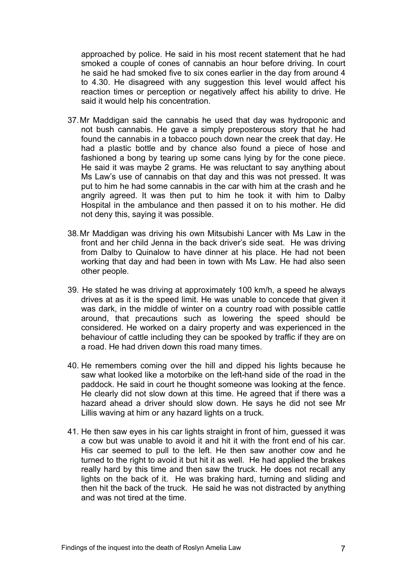approached by police. He said in his most recent statement that he had smoked a couple of cones of cannabis an hour before driving. In court he said he had smoked five to six cones earlier in the day from around 4 to 4.30. He disagreed with any suggestion this level would affect his reaction times or perception or negatively affect his ability to drive. He said it would help his concentration.

- 37. Mr Maddigan said the cannabis he used that day was hydroponic and not bush cannabis. He gave a simply preposterous story that he had found the cannabis in a tobacco pouch down near the creek that day. He had a plastic bottle and by chance also found a piece of hose and fashioned a bong by tearing up some cans lying by for the cone piece. He said it was maybe 2 grams. He was reluctant to say anything about Ms Law's use of cannabis on that day and this was not pressed. It was put to him he had some cannabis in the car with him at the crash and he angrily agreed. It was then put to him he took it with him to Dalby Hospital in the ambulance and then passed it on to his mother. He did not deny this, saying it was possible.
- 38. Mr Maddigan was driving his own Mitsubishi Lancer with Ms Law in the front and her child Jenna in the back driver's side seat. He was driving from Dalby to Quinalow to have dinner at his place. He had not been working that day and had been in town with Ms Law. He had also seen other people.
- 39. He stated he was driving at approximately 100 km/h, a speed he always drives at as it is the speed limit. He was unable to concede that given it was dark, in the middle of winter on a country road with possible cattle around, that precautions such as lowering the speed should be considered. He worked on a dairy property and was experienced in the behaviour of cattle including they can be spooked by traffic if they are on a road. He had driven down this road many times.
- 40. He remembers coming over the hill and dipped his lights because he saw what looked like a motorbike on the left-hand side of the road in the paddock. He said in court he thought someone was looking at the fence. He clearly did not slow down at this time. He agreed that if there was a hazard ahead a driver should slow down. He says he did not see Mr Lillis waving at him or any hazard lights on a truck.
- 41. He then saw eyes in his car lights straight in front of him, guessed it was a cow but was unable to avoid it and hit it with the front end of his car. His car seemed to pull to the left. He then saw another cow and he turned to the right to avoid it but hit it as well. He had applied the brakes really hard by this time and then saw the truck. He does not recall any lights on the back of it. He was braking hard, turning and sliding and then hit the back of the truck. He said he was not distracted by anything and was not tired at the time.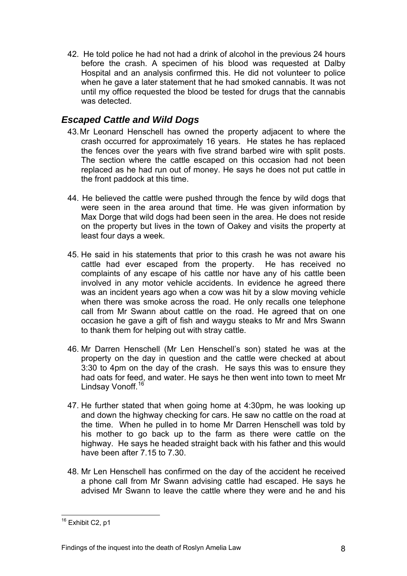42. He told police he had not had a drink of alcohol in the previous 24 hours before the crash. A specimen of his blood was requested at Dalby Hospital and an analysis confirmed this. He did not volunteer to police when he gave a later statement that he had smoked cannabis. It was not until my office requested the blood be tested for drugs that the cannabis was detected.

# *Escaped Cattle and Wild Dogs*

- 43. Mr Leonard Henschell has owned the property adjacent to where the crash occurred for approximately 16 years. He states he has replaced the fences over the years with five strand barbed wire with split posts. The section where the cattle escaped on this occasion had not been replaced as he had run out of money. He says he does not put cattle in the front paddock at this time.
- 44. He believed the cattle were pushed through the fence by wild dogs that were seen in the area around that time. He was given information by Max Dorge that wild dogs had been seen in the area. He does not reside on the property but lives in the town of Oakey and visits the property at least four days a week.
- 45. He said in his statements that prior to this crash he was not aware his cattle had ever escaped from the property. He has received no complaints of any escape of his cattle nor have any of his cattle been involved in any motor vehicle accidents. In evidence he agreed there was an incident years ago when a cow was hit by a slow moving vehicle when there was smoke across the road. He only recalls one telephone call from Mr Swann about cattle on the road. He agreed that on one occasion he gave a gift of fish and waygu steaks to Mr and Mrs Swann to thank them for helping out with stray cattle.
- 46. Mr Darren Henschell (Mr Len Henschell's son) stated he was at the property on the day in question and the cattle were checked at about 3:30 to 4pm on the day of the crash. He says this was to ensure they had oats for feed, and water. He says he then went into town to meet Mr Lindsay Vonoff.<sup>[16](#page-3-5)</sup>
- 47. He further stated that when going home at 4:30pm, he was looking up and down the highway checking for cars. He saw no cattle on the road at the time. When he pulled in to home Mr Darren Henschell was told by his mother to go back up to the farm as there were cattle on the highway. He says he headed straight back with his father and this would have been after 7.15 to 7.30.
- 48. Mr Len Henschell has confirmed on the day of the accident he received a phone call from Mr Swann advising cattle had escaped. He says he advised Mr Swann to leave the cattle where they were and he and his

l  $16$  Exhibit C2, p1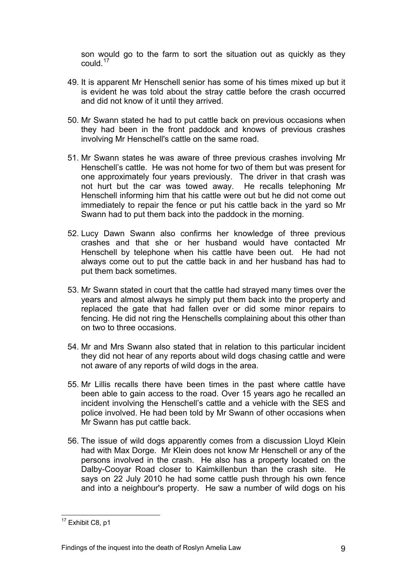son would go to the farm to sort the situation out as quickly as they could  $17$ 

- 49. It is apparent Mr Henschell senior has some of his times mixed up but it is evident he was told about the stray cattle before the crash occurred and did not know of it until they arrived.
- 50. Mr Swann stated he had to put cattle back on previous occasions when they had been in the front paddock and knows of previous crashes involving Mr Henschell's cattle on the same road.
- 51. Mr Swann states he was aware of three previous crashes involving Mr Henschell's cattle. He was not home for two of them but was present for one approximately four years previously. The driver in that crash was not hurt but the car was towed away. He recalls telephoning Mr Henschell informing him that his cattle were out but he did not come out immediately to repair the fence or put his cattle back in the yard so Mr Swann had to put them back into the paddock in the morning.
- 52. Lucy Dawn Swann also confirms her knowledge of three previous crashes and that she or her husband would have contacted Mr Henschell by telephone when his cattle have been out. He had not always come out to put the cattle back in and her husband has had to put them back sometimes.
- 53. Mr Swann stated in court that the cattle had strayed many times over the years and almost always he simply put them back into the property and replaced the gate that had fallen over or did some minor repairs to fencing. He did not ring the Henschells complaining about this other than on two to three occasions.
- 54. Mr and Mrs Swann also stated that in relation to this particular incident they did not hear of any reports about wild dogs chasing cattle and were not aware of any reports of wild dogs in the area.
- 55. Mr Lillis recalls there have been times in the past where cattle have been able to gain access to the road. Over 15 years ago he recalled an incident involving the Henschell's cattle and a vehicle with the SES and police involved. He had been told by Mr Swann of other occasions when Mr Swann has put cattle back.
- 56. The issue of wild dogs apparently comes from a discussion Lloyd Klein had with Max Dorge. Mr Klein does not know Mr Henschell or any of the persons involved in the crash. He also has a property located on the Dalby-Cooyar Road closer to Kaimkillenbun than the crash site. He says on 22 July 2010 he had some cattle push through his own fence and into a neighbour's property. He saw a number of wild dogs on his

<span id="page-9-0"></span>l  $17$  Exhibit C8, p1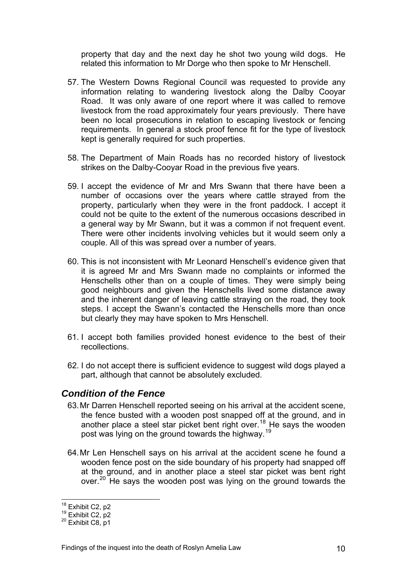property that day and the next day he shot two young wild dogs. He related this information to Mr Dorge who then spoke to Mr Henschell.

- 57. The Western Downs Regional Council was requested to provide any information relating to wandering livestock along the Dalby Cooyar Road. It was only aware of one report where it was called to remove livestock from the road approximately four years previously. There have been no local prosecutions in relation to escaping livestock or fencing requirements. In general a stock proof fence fit for the type of livestock kept is generally required for such properties.
- 58. The Department of Main Roads has no recorded history of livestock strikes on the Dalby-Cooyar Road in the previous five years.
- 59. I accept the evidence of Mr and Mrs Swann that there have been a number of occasions over the years where cattle strayed from the property, particularly when they were in the front paddock. I accept it could not be quite to the extent of the numerous occasions described in a general way by Mr Swann, but it was a common if not frequent event. There were other incidents involving vehicles but it would seem only a couple. All of this was spread over a number of years.
- 60. This is not inconsistent with Mr Leonard Henschell's evidence given that it is agreed Mr and Mrs Swann made no complaints or informed the Henschells other than on a couple of times. They were simply being good neighbours and given the Henschells lived some distance away and the inherent danger of leaving cattle straying on the road, they took steps. I accept the Swann's contacted the Henschells more than once but clearly they may have spoken to Mrs Henschell.
- 61. I accept both families provided honest evidence to the best of their recollections.
- 62. I do not accept there is sufficient evidence to suggest wild dogs played a part, although that cannot be absolutely excluded.

#### *Condition of the Fence*

- 63. Mr Darren Henschell reported seeing on his arrival at the accident scene, the fence busted with a wooden post snapped off at the ground, and in another place a steel star picket bent right over.<sup>[18](#page-9-0)</sup> He says the wooden post was lying on the ground towards the highway.[19](#page-10-0)
- 64. Mr Len Henschell says on his arrival at the accident scene he found a wooden fence post on the side boundary of his property had snapped off at the ground, and in another place a steel star picket was bent right over.<sup>[20](#page-10-1)</sup> He says the wooden post was lying on the ground towards the

<sup>&</sup>lt;sup>18</sup> Exhibit C2, p2

<span id="page-10-0"></span> $19 \overline{\phantom{0}}$  Exhibit C2, p2<br> $20 \overline{\phantom{0}}$  Exhibit C8, p1

<span id="page-10-1"></span>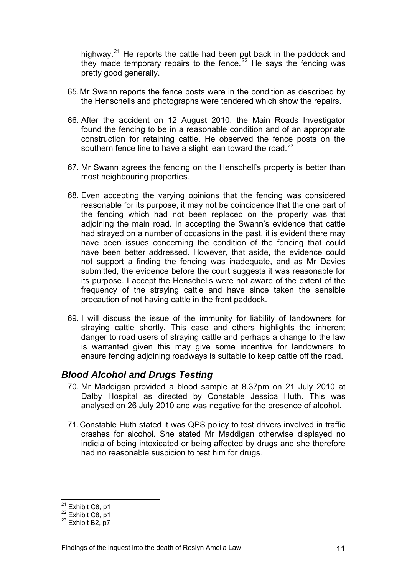highway.<sup>21</sup> He reports the cattle had been put back in the paddock and they made temporary repairs to the fence.<sup>22</sup> He says the fencing was pretty good generally.

- 65. Mr Swann reports the fence posts were in the condition as described by the Henschells and photographs were tendered which show the repairs.
- 66. After the accident on 12 August 2010, the Main Roads Investigator found the fencing to be in a reasonable condition and of an appropriate construction for retaining cattle. He observed the fence posts on the southern fence line to have a slight lean toward the road. $^{23}$  $^{23}$  $^{23}$
- 67. Mr Swann agrees the fencing on the Henschell's property is better than most neighbouring properties.
- 68. Even accepting the varying opinions that the fencing was considered reasonable for its purpose, it may not be coincidence that the one part of the fencing which had not been replaced on the property was that adjoining the main road. In accepting the Swann's evidence that cattle had strayed on a number of occasions in the past, it is evident there may have been issues concerning the condition of the fencing that could have been better addressed. However, that aside, the evidence could not support a finding the fencing was inadequate, and as Mr Davies submitted, the evidence before the court suggests it was reasonable for its purpose. I accept the Henschells were not aware of the extent of the frequency of the straying cattle and have since taken the sensible precaution of not having cattle in the front paddock.
- 69. I will discuss the issue of the immunity for liability of landowners for straying cattle shortly. This case and others highlights the inherent danger to road users of straying cattle and perhaps a change to the law is warranted given this may give some incentive for landowners to ensure fencing adjoining roadways is suitable to keep cattle off the road.

### *Blood Alcohol and Drugs Testing*

- 70. Mr Maddigan provided a blood sample at 8.37pm on 21 July 2010 at Dalby Hospital as directed by Constable Jessica Huth. This was analysed on 26 July 2010 and was negative for the presence of alcohol.
- 71. Constable Huth stated it was QPS policy to test drivers involved in traffic crashes for alcohol. She stated Mr Maddigan otherwise displayed no indicia of being intoxicated or being affected by drugs and she therefore had no reasonable suspicion to test him for drugs.

<sup>&</sup>lt;sup>21</sup> Exhibit C8, p1

 $\frac{22}{23}$  Exhibit C8, p1

<span id="page-11-0"></span>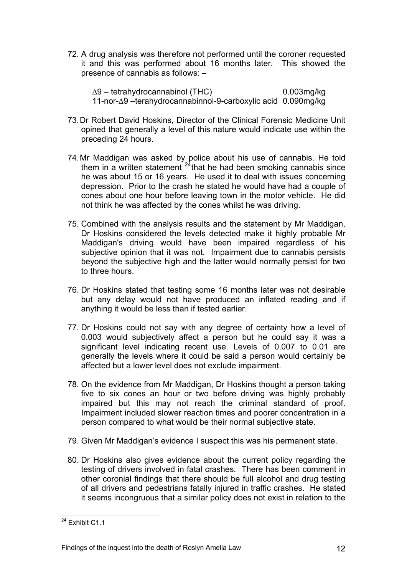72. A drug analysis was therefore not performed until the coroner requested it and this was performed about 16 months later. This showed the presence of cannabis as follows: –

∆9 – tetrahydrocannabinol (THC) 0.003mg/kg 11-nor-∆9 –terahydrocannabinnol-9-carboxylic acid 0.090mg/kg

- 73. Dr Robert David Hoskins, Director of the Clinical Forensic Medicine Unit opined that generally a level of this nature would indicate use within the preceding 24 hours.
- 74. Mr Maddigan was asked by police about his use of cannabis. He told them in a written statement  $24$ that he had been smoking cannabis since he was about 15 or 16 years. He used it to deal with issues concerning depression. Prior to the crash he stated he would have had a couple of cones about one hour before leaving town in the motor vehicle. He did not think he was affected by the cones whilst he was driving.
- 75. Combined with the analysis results and the statement by Mr Maddigan, Dr Hoskins considered the levels detected make it highly probable Mr Maddigan's driving would have been impaired regardless of his subjective opinion that it was not. Impairment due to cannabis persists beyond the subjective high and the latter would normally persist for two to three hours.
- 76. Dr Hoskins stated that testing some 16 months later was not desirable but any delay would not have produced an inflated reading and if anything it would be less than if tested earlier.
- 77. Dr Hoskins could not say with any degree of certainty how a level of 0.003 would subjectively affect a person but he could say it was a significant level indicating recent use. Levels of 0.007 to 0.01 are generally the levels where it could be said a person would certainly be affected but a lower level does not exclude impairment.
- 78. On the evidence from Mr Maddigan, Dr Hoskins thought a person taking five to six cones an hour or two before driving was highly probably impaired but this may not reach the criminal standard of proof. Impairment included slower reaction times and poorer concentration in a person compared to what would be their normal subjective state.
- 79. Given Mr Maddigan's evidence I suspect this was his permanent state.
- 80. Dr Hoskins also gives evidence about the current policy regarding the testing of drivers involved in fatal crashes. There has been comment in other coronial findings that there should be full alcohol and drug testing of all drivers and pedestrians fatally injured in traffic crashes. He stated it seems incongruous that a similar policy does not exist in relation to the

<span id="page-12-0"></span>l  $^{24}$  Exhibit C1.1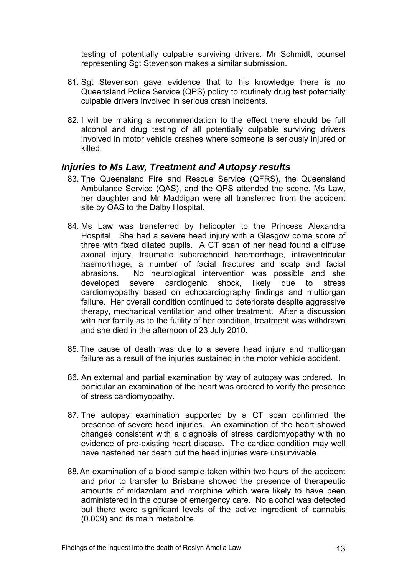testing of potentially culpable surviving drivers. Mr Schmidt, counsel representing Sgt Stevenson makes a similar submission.

- 81. Sgt Stevenson gave evidence that to his knowledge there is no Queensland Police Service (QPS) policy to routinely drug test potentially culpable drivers involved in serious crash incidents.
- 82. I will be making a recommendation to the effect there should be full alcohol and drug testing of all potentially culpable surviving drivers involved in motor vehicle crashes where someone is seriously injured or killed.

### *Injuries to Ms Law, Treatment and Autopsy results*

- 83. The Queensland Fire and Rescue Service (QFRS), the Queensland Ambulance Service (QAS), and the QPS attended the scene. Ms Law, her daughter and Mr Maddigan were all transferred from the accident site by QAS to the Dalby Hospital.
- 84. Ms Law was transferred by helicopter to the Princess Alexandra Hospital. She had a severe head injury with a Glasgow coma score of three with fixed dilated pupils. A CT scan of her head found a diffuse axonal injury, traumatic subarachnoid haemorrhage, intraventricular haemorrhage, a number of facial fractures and scalp and facial abrasions. No neurological intervention was possible and she developed severe cardiogenic shock, likely due to stress cardiomyopathy based on echocardiography findings and multiorgan failure. Her overall condition continued to deteriorate despite aggressive therapy, mechanical ventilation and other treatment. After a discussion with her family as to the futility of her condition, treatment was withdrawn and she died in the afternoon of 23 July 2010.
- 85. The cause of death was due to a severe head injury and multiorgan failure as a result of the injuries sustained in the motor vehicle accident.
- 86. An external and partial examination by way of autopsy was ordered. In particular an examination of the heart was ordered to verify the presence of stress cardiomyopathy.
- 87. The autopsy examination supported by a CT scan confirmed the presence of severe head injuries. An examination of the heart showed changes consistent with a diagnosis of stress cardiomyopathy with no evidence of pre-existing heart disease. The cardiac condition may well have hastened her death but the head injuries were unsurvivable.
- 88. An examination of a blood sample taken within two hours of the accident and prior to transfer to Brisbane showed the presence of therapeutic amounts of midazolam and morphine which were likely to have been administered in the course of emergency care. No alcohol was detected but there were significant levels of the active ingredient of cannabis (0.009) and its main metabolite.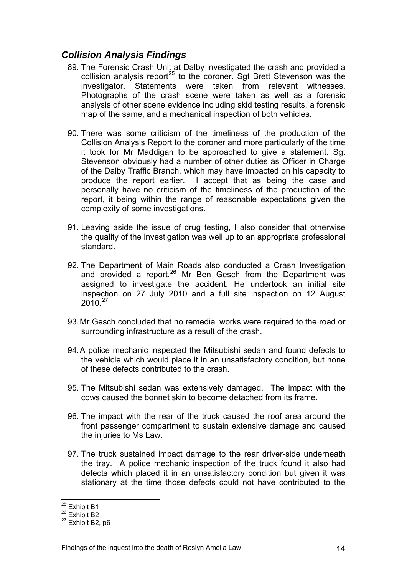# *Collision Analysis Findings*

- 89. The Forensic Crash Unit at Dalby investigated the crash and provided a collision analysis report<sup>[25](#page-12-0)</sup> to the coroner. Sgt Brett Stevenson was the investigator. Statements were taken from relevant witnesses. Photographs of the crash scene were taken as well as a forensic analysis of other scene evidence including skid testing results, a forensic map of the same, and a mechanical inspection of both vehicles.
- 90. There was some criticism of the timeliness of the production of the Collision Analysis Report to the coroner and more particularly of the time it took for Mr Maddigan to be approached to give a statement. Sgt Stevenson obviously had a number of other duties as Officer in Charge of the Dalby Traffic Branch, which may have impacted on his capacity to produce the report earlier. I accept that as being the case and personally have no criticism of the timeliness of the production of the report, it being within the range of reasonable expectations given the complexity of some investigations.
- 91. Leaving aside the issue of drug testing, I also consider that otherwise the quality of the investigation was well up to an appropriate professional standard.
- 92. The Department of Main Roads also conducted a Crash Investigation and provided a report.<sup>[26](#page-14-0)</sup> Mr Ben Gesch from the Department was assigned to investigate the accident. He undertook an initial site inspection on 27 July 2010 and a full site inspection on 12 August  $2010^{27}$  $2010^{27}$  $2010^{27}$
- 93. Mr Gesch concluded that no remedial works were required to the road or surrounding infrastructure as a result of the crash.
- 94. A police mechanic inspected the Mitsubishi sedan and found defects to the vehicle which would place it in an unsatisfactory condition, but none of these defects contributed to the crash.
- 95. The Mitsubishi sedan was extensively damaged. The impact with the cows caused the bonnet skin to become detached from its frame.
- 96. The impact with the rear of the truck caused the roof area around the front passenger compartment to sustain extensive damage and caused the injuries to Ms Law.
- 97. The truck sustained impact damage to the rear driver-side underneath the tray. A police mechanic inspection of the truck found it also had defects which placed it in an unsatisfactory condition but given it was stationary at the time those defects could not have contributed to the

l

<sup>&</sup>lt;sup>25</sup> Exhibit B1

<span id="page-14-0"></span><sup>&</sup>lt;sup>26</sup> Exhibit B2

<span id="page-14-1"></span> $27$  Exhibit B2, p6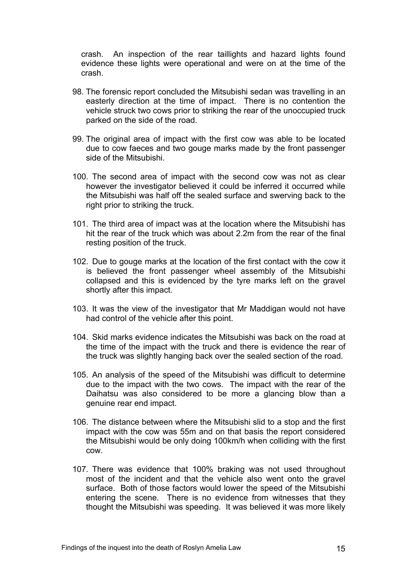crash. An inspection of the rear taillights and hazard lights found evidence these lights were operational and were on at the time of the crash.

- 98. The forensic report concluded the Mitsubishi sedan was travelling in an easterly direction at the time of impact. There is no contention the vehicle struck two cows prior to striking the rear of the unoccupied truck parked on the side of the road.
- 99. The original area of impact with the first cow was able to be located due to cow faeces and two gouge marks made by the front passenger side of the Mitsubishi.
- 100. The second area of impact with the second cow was not as clear however the investigator believed it could be inferred it occurred while the Mitsubishi was half off the sealed surface and swerving back to the right prior to striking the truck.
- 101. The third area of impact was at the location where the Mitsubishi has hit the rear of the truck which was about 2.2m from the rear of the final resting position of the truck.
- 102. Due to gouge marks at the location of the first contact with the cow it is believed the front passenger wheel assembly of the Mitsubishi collapsed and this is evidenced by the tyre marks left on the gravel shortly after this impact.
- 103. It was the view of the investigator that Mr Maddigan would not have had control of the vehicle after this point.
- 104. Skid marks evidence indicates the Mitsubishi was back on the road at the time of the impact with the truck and there is evidence the rear of the truck was slightly hanging back over the sealed section of the road.
- 105. An analysis of the speed of the Mitsubishi was difficult to determine due to the impact with the two cows. The impact with the rear of the Daihatsu was also considered to be more a glancing blow than a genuine rear end impact.
- 106. The distance between where the Mitsubishi slid to a stop and the first impact with the cow was 55m and on that basis the report considered the Mitsubishi would be only doing 100km/h when colliding with the first cow.
- 107. There was evidence that 100% braking was not used throughout most of the incident and that the vehicle also went onto the gravel surface. Both of those factors would lower the speed of the Mitsubishi entering the scene. There is no evidence from witnesses that they thought the Mitsubishi was speeding. It was believed it was more likely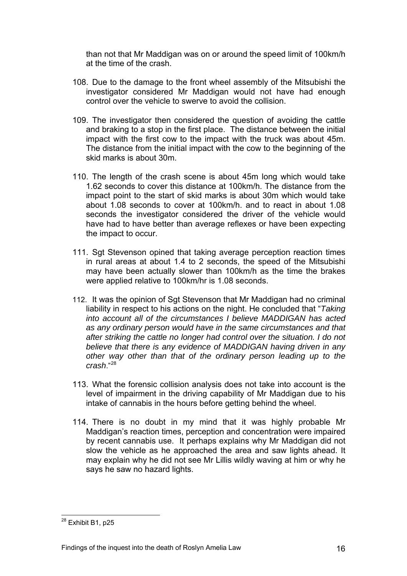than not that Mr Maddigan was on or around the speed limit of 100km/h at the time of the crash.

- 108. Due to the damage to the front wheel assembly of the Mitsubishi the investigator considered Mr Maddigan would not have had enough control over the vehicle to swerve to avoid the collision.
- 109. The investigator then considered the question of avoiding the cattle and braking to a stop in the first place. The distance between the initial impact with the first cow to the impact with the truck was about 45m. The distance from the initial impact with the cow to the beginning of the skid marks is about 30m.
- 110. The length of the crash scene is about 45m long which would take 1.62 seconds to cover this distance at 100km/h. The distance from the impact point to the start of skid marks is about 30m which would take about 1.08 seconds to cover at 100km/h. and to react in about 1.08 seconds the investigator considered the driver of the vehicle would have had to have better than average reflexes or have been expecting the impact to occur.
- 111. Sgt Stevenson opined that taking average perception reaction times in rural areas at about 1.4 to 2 seconds, the speed of the Mitsubishi may have been actually slower than 100km/h as the time the brakes were applied relative to 100km/hr is 1.08 seconds.
- 112. It was the opinion of Sgt Stevenson that Mr Maddigan had no criminal liability in respect to his actions on the night. He concluded that "*Taking into account all of the circumstances I believe MADDIGAN has acted as any ordinary person would have in the same circumstances and that after striking the cattle no longer had control over the situation. I do not believe that there is any evidence of MADDIGAN having driven in any other way other than that of the ordinary person leading up to the crash*."[28](#page-14-1)
- 113. What the forensic collision analysis does not take into account is the level of impairment in the driving capability of Mr Maddigan due to his intake of cannabis in the hours before getting behind the wheel.
- 114. There is no doubt in my mind that it was highly probable Mr Maddigan's reaction times, perception and concentration were impaired by recent cannabis use. It perhaps explains why Mr Maddigan did not slow the vehicle as he approached the area and saw lights ahead. It may explain why he did not see Mr Lillis wildly waving at him or why he says he saw no hazard lights.

l

<span id="page-16-0"></span> $^{28}$  Exhibit B1, p25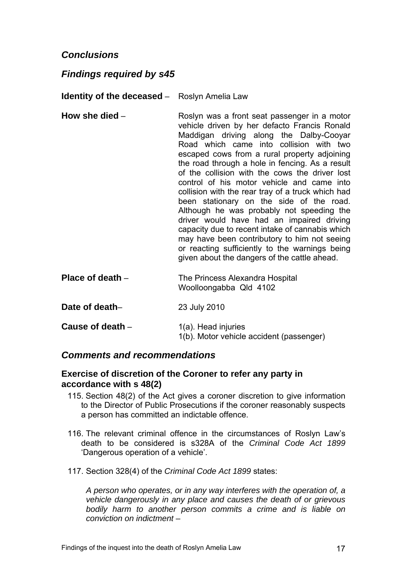## *Conclusions*

## *Findings required by s45*

**Identity of the deceased** – Roslyn Amelia Law

- **How she died** Roslyn was a front seat passenger in a motor vehicle driven by her defacto Francis Ronald Maddigan driving along the Dalby-Cooyar Road which came into collision with two escaped cows from a rural property adjoining the road through a hole in fencing. As a result of the collision with the cows the driver lost control of his motor vehicle and came into collision with the rear tray of a truck which had been stationary on the side of the road. Although he was probably not speeding the driver would have had an impaired driving capacity due to recent intake of cannabis which may have been contributory to him not seeing or reacting sufficiently to the warnings being given about the dangers of the cattle ahead.
- **Place of death** The Princess Alexandra Hospital Woolloongabba Qld 4102
- **Date of death** 23 July 2010
- **Cause of death** 1(a). Head injuries 1(b). Motor vehicle accident (passenger)

#### *Comments and recommendations*

#### **Exercise of discretion of the Coroner to refer any party in accordance with s 48(2)**

- 115. Section 48(2) of the Act gives a coroner discretion to give information to the Director of Public Prosecutions if the coroner reasonably suspects a person has committed an indictable offence.
- 116. The relevant criminal offence in the circumstances of Roslyn Law's death to be considered is s328A of the *Criminal Code Act 1899* 'Dangerous operation of a vehicle'.
- 117. Section 328(4) of the *Criminal Code Act 1899* states:

*A person who operates, or in any way interferes with the operation of, a vehicle dangerously in any place and causes the death of or grievous bodily harm to another person commits a crime and is liable on conviction on indictment –*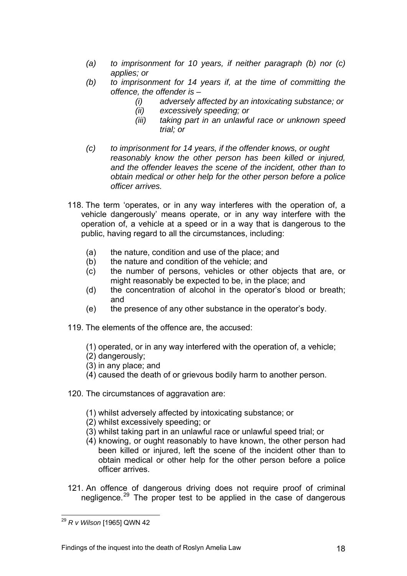- *(a) to imprisonment for 10 years, if neither paragraph (b) nor (c) applies; or*
- *(b) to imprisonment for 14 years if, at the time of committing the offence, the offender is –* 
	- *(i) adversely affected by an intoxicating substance; or*
	- *(ii) excessively speeding; or*
	- *(iii) taking part in an unlawful race or unknown speed trial; or*
- *(c) to imprisonment for 14 years, if the offender knows, or ought reasonably know the other person has been killed or injured, and the offender leaves the scene of the incident, other than to obtain medical or other help for the other person before a police officer arrives.*
- 118. The term 'operates, or in any way interferes with the operation of, a vehicle dangerously' means operate, or in any way interfere with the operation of, a vehicle at a speed or in a way that is dangerous to the public, having regard to all the circumstances, including:
	- (a) the nature, condition and use of the place; and
	- (b) the nature and condition of the vehicle; and
	- (c) the number of persons, vehicles or other objects that are, or might reasonably be expected to be, in the place; and
	- (d) the concentration of alcohol in the operator's blood or breath; and
	- (e) the presence of any other substance in the operator's body.
- 119. The elements of the offence are, the accused:
	- (1) operated, or in any way interfered with the operation of, a vehicle;
	- (2) dangerously;
	- (3) in any place; and
	- (4) caused the death of or grievous bodily harm to another person.
- 120. The circumstances of aggravation are:
	- (1) whilst adversely affected by intoxicating substance; or
	- (2) whilst excessively speeding; or
	- (3) whilst taking part in an unlawful race or unlawful speed trial; or
	- (4) knowing, or ought reasonably to have known, the other person had been killed or injured, left the scene of the incident other than to obtain medical or other help for the other person before a police officer arrives.
- 121. An offence of dangerous driving does not require proof of criminal negligence.<sup>[29](#page-16-0)</sup> The proper test to be applied in the case of dangerous

l <sup>29</sup> *R v Wilson* [1965] QWN 42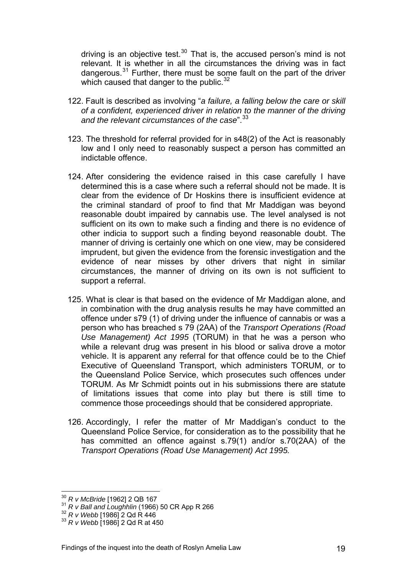driving is an objective test. $30$  That is, the accused person's mind is not relevant. It is whether in all the circumstances the driving was in fact dangerous.<sup>31</sup> Further, there must be some fault on the part of the driver which caused that danger to the public.  $32$ 

- 122. Fault is described as involving "*a failure, a falling below the care or skill of a confident, experienced driver in relation to the manner of the driving and the relevant circumstances of the case*".[33](#page-19-0)
- 123. The threshold for referral provided for in s48(2) of the Act is reasonably low and I only need to reasonably suspect a person has committed an indictable offence.
- 124. After considering the evidence raised in this case carefully I have determined this is a case where such a referral should not be made. It is clear from the evidence of Dr Hoskins there is insufficient evidence at the criminal standard of proof to find that Mr Maddigan was beyond reasonable doubt impaired by cannabis use. The level analysed is not sufficient on its own to make such a finding and there is no evidence of other indicia to support such a finding beyond reasonable doubt. The manner of driving is certainly one which on one view, may be considered imprudent, but given the evidence from the forensic investigation and the evidence of near misses by other drivers that night in similar circumstances, the manner of driving on its own is not sufficient to support a referral.
- 125. What is clear is that based on the evidence of Mr Maddigan alone, and in combination with the drug analysis results he may have committed an offence under s79 (1) of driving under the influence of cannabis or was a person who has breached s 79 (2AA) of the *Transport Operations (Road Use Management) Act 1995* (TORUM) in that he was a person who while a relevant drug was present in his blood or saliva drove a motor vehicle. It is apparent any referral for that offence could be to the Chief Executive of Queensland Transport, which administers TORUM, or to the Queensland Police Service, which prosecutes such offences under TORUM. As Mr Schmidt points out in his submissions there are statute of limitations issues that come into play but there is still time to commence those proceedings should that be considered appropriate.
- 126. Accordingly, I refer the matter of Mr Maddigan's conduct to the Queensland Police Service, for consideration as to the possibility that he has committed an offence against s.79(1) and/or s.70(2AA) of the *Transport Operations (Road Use Management) Act 1995.*

 $30 R$  v McBride [1962] 2 QB 167

<span id="page-19-1"></span><sup>&</sup>lt;sup>31</sup> *R v Ball and Loughhlin* (1966) 50 CR App R 266<br><sup>32</sup> *R v Webb* [1986] 2 Qd R 446<br><sup>33</sup> *R v Webb* [1986] 2 Qd R at 450

<span id="page-19-0"></span>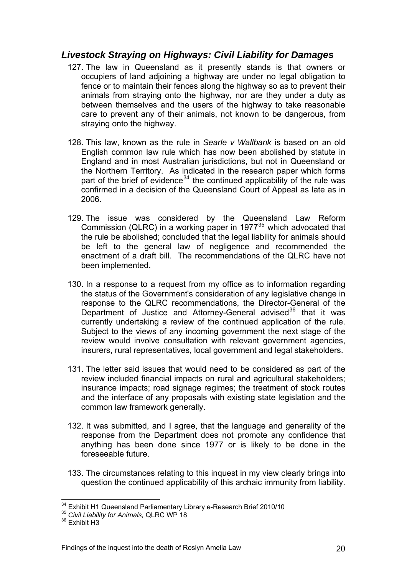# *Livestock Straying on Highways: Civil Liability for Damages*

- 127. The law in Queensland as it presently stands is that owners or occupiers of land adjoining a highway are under no legal obligation to fence or to maintain their fences along the highway so as to prevent their animals from straying onto the highway, nor are they under a duty as between themselves and the users of the highway to take reasonable care to prevent any of their animals, not known to be dangerous, from straying onto the highway.
- 128. This law, known as the rule in *Searle v Wallbank* is based on an old English common law rule which has now been abolished by statute in England and in most Australian jurisdictions, but not in Queensland or the Northern Territory. As indicated in the research paper which forms part of the brief of evidence<sup>[34](#page-19-1)</sup> the continued applicability of the rule was confirmed in a decision of the Queensland Court of Appeal as late as in 2006.
- 129. The issue was considered by the Queensland Law Reform Commission (QLRC) in a working paper in  $1977^{35}$  $1977^{35}$  $1977^{35}$  which advocated that the rule be abolished; concluded that the legal liability for animals should be left to the general law of negligence and recommended the enactment of a draft bill. The recommendations of the QLRC have not been implemented.
- 130. In a response to a request from my office as to information regarding the status of the Government's consideration of any legislative change in response to the QLRC recommendations, the Director-General of the Department of Justice and Attorney-General advised<sup>[36](#page-20-1)</sup> that it was currently undertaking a review of the continued application of the rule. Subject to the views of any incoming government the next stage of the review would involve consultation with relevant government agencies, insurers, rural representatives, local government and legal stakeholders.
- 131. The letter said issues that would need to be considered as part of the review included financial impacts on rural and agricultural stakeholders; insurance impacts; road signage regimes; the treatment of stock routes and the interface of any proposals with existing state legislation and the common law framework generally.
- 132. It was submitted, and I agree, that the language and generality of the response from the Department does not promote any confidence that anything has been done since 1977 or is likely to be done in the foreseeable future.
- 133. The circumstances relating to this inquest in my view clearly brings into question the continued applicability of this archaic immunity from liability.

l

<sup>&</sup>lt;sup>34</sup> Exhibit H1 Queensland Parliamentary Library e-Research Brief 2010/10<br><sup>35</sup> *Civil Liability for Animals, QLRC WP 18* 

<span id="page-20-1"></span><span id="page-20-0"></span> $36$  Exhibit H3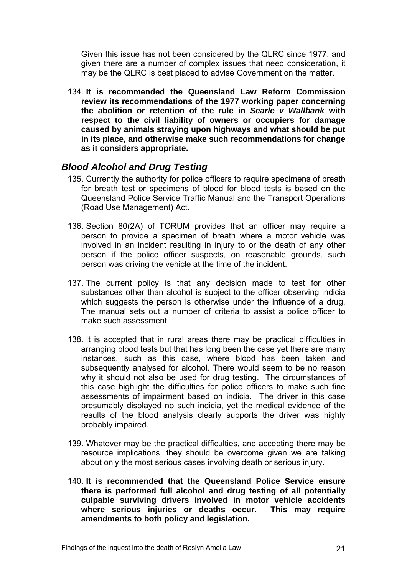Given this issue has not been considered by the QLRC since 1977, and given there are a number of complex issues that need consideration, it may be the QLRC is best placed to advise Government on the matter.

134. **It is recommended the Queensland Law Reform Commission review its recommendations of the 1977 working paper concerning the abolition or retention of the rule in** *Searle v Wallbank* **with respect to the civil liability of owners or occupiers for damage caused by animals straying upon highways and what should be put in its place, and otherwise make such recommendations for change as it considers appropriate.**

## *Blood Alcohol and Drug Testing*

- 135. Currently the authority for police officers to require specimens of breath for breath test or specimens of blood for blood tests is based on the Queensland Police Service Traffic Manual and the Transport Operations (Road Use Management) Act.
- 136. Section 80(2A) of TORUM provides that an officer may require a person to provide a specimen of breath where a motor vehicle was involved in an incident resulting in injury to or the death of any other person if the police officer suspects, on reasonable grounds, such person was driving the vehicle at the time of the incident.
- 137. The current policy is that any decision made to test for other substances other than alcohol is subject to the officer observing indicia which suggests the person is otherwise under the influence of a drug. The manual sets out a number of criteria to assist a police officer to make such assessment.
- 138. It is accepted that in rural areas there may be practical difficulties in arranging blood tests but that has long been the case yet there are many instances, such as this case, where blood has been taken and subsequently analysed for alcohol. There would seem to be no reason why it should not also be used for drug testing. The circumstances of this case highlight the difficulties for police officers to make such fine assessments of impairment based on indicia. The driver in this case presumably displayed no such indicia, yet the medical evidence of the results of the blood analysis clearly supports the driver was highly probably impaired.
- 139. Whatever may be the practical difficulties, and accepting there may be resource implications, they should be overcome given we are talking about only the most serious cases involving death or serious injury.
- 140. **It is recommended that the Queensland Police Service ensure there is performed full alcohol and drug testing of all potentially culpable surviving drivers involved in motor vehicle accidents where serious injuries or deaths occur. This may require amendments to both policy and legislation.**